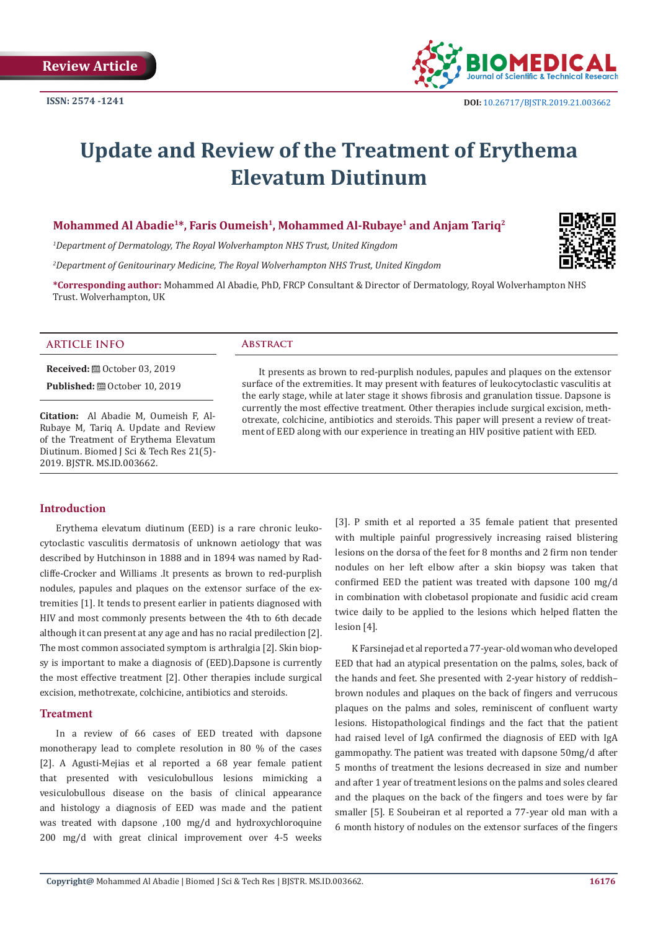

# **Update and Review of the Treatment of Erythema Elevatum Diutinum**

# **Mohammed Al Abadie1\*, Faris Oumeish1, Mohammed Al-Rubaye1 and Anjam Tariq2**

*1 Department of Dermatology, The Royal Wolverhampton NHS Trust, United Kingdom*

*2 Department of Genitourinary Medicine, The Royal Wolverhampton NHS Trust, United Kingdom*

**\*Corresponding author:** Mohammed Al Abadie, PhD, FRCP Consultant & Director of Dermatology, Royal Wolverhampton NHS Trust. Wolverhampton, UK

# **ARTICLE INFO Abstract**

**Received:** ■ October 03, 2019

**Published: @** October 10, 2019

**Citation:** Al Abadie M, Oumeish F, Al-Rubaye M, Tariq A. Update and Review of the Treatment of Erythema Elevatum Diutinum. Biomed J Sci & Tech Res 21(5)- 2019. BJSTR. MS.ID.003662.

It presents as brown to red-purplish nodules, papules and plaques on the extensor surface of the extremities. It may present with features of leukocytoclastic vasculitis at the early stage, while at later stage it shows fibrosis and granulation tissue. Dapsone is currently the most effective treatment. Other therapies include surgical excision, methotrexate, colchicine, antibiotics and steroids. This paper will present a review of treatment of EED along with our experience in treating an HIV positive patient with EED.

#### **Introduction**

Erythema elevatum diutinum (EED) is a rare chronic leukocytoclastic vasculitis dermatosis of unknown aetiology that was described by Hutchinson in 1888 and in 1894 was named by Radcliffe-Crocker and Williams .It presents as brown to red-purplish nodules, papules and plaques on the extensor surface of the extremities [1]. It tends to present earlier in patients diagnosed with HIV and most commonly presents between the 4th to 6th decade although it can present at any age and has no racial predilection [2]. The most common associated symptom is arthralgia [2]. Skin biopsy is important to make a diagnosis of (EED).Dapsone is currently the most effective treatment [2]. Other therapies include surgical excision, methotrexate, colchicine, antibiotics and steroids.

#### **Treatment**

In a review of 66 cases of EED treated with dapsone monotherapy lead to complete resolution in 80 % of the cases [2]. A Agusti-Mejias et al reported a 68 year female patient that presented with vesiculobullous lesions mimicking a vesiculobullous disease on the basis of clinical appearance and histology a diagnosis of EED was made and the patient was treated with dapsone ,100 mg/d and hydroxychloroquine 200 mg/d with great clinical improvement over 4-5 weeks

[3]. P smith et al reported a 35 female patient that presented with multiple painful progressively increasing raised blistering lesions on the dorsa of the feet for 8 months and 2 firm non tender nodules on her left elbow after a skin biopsy was taken that confirmed EED the patient was treated with dapsone 100 mg/d in combination with clobetasol propionate and fusidic acid cream twice daily to be applied to the lesions which helped flatten the lesion [4].

K Farsinejad et al reported a 77-year-old woman who developed EED that had an atypical presentation on the palms, soles, back of the hands and feet. She presented with 2-year history of reddish– brown nodules and plaques on the back of fingers and verrucous plaques on the palms and soles, reminiscent of confluent warty lesions. Histopathological findings and the fact that the patient had raised level of IgA confirmed the diagnosis of EED with IgA gammopathy. The patient was treated with dapsone 50mg/d after 5 months of treatment the lesions decreased in size and number and after 1 year of treatment lesions on the palms and soles cleared and the plaques on the back of the fingers and toes were by far smaller [5]. E Soubeiran et al reported a 77-year old man with a 6 month history of nodules on the extensor surfaces of the fingers

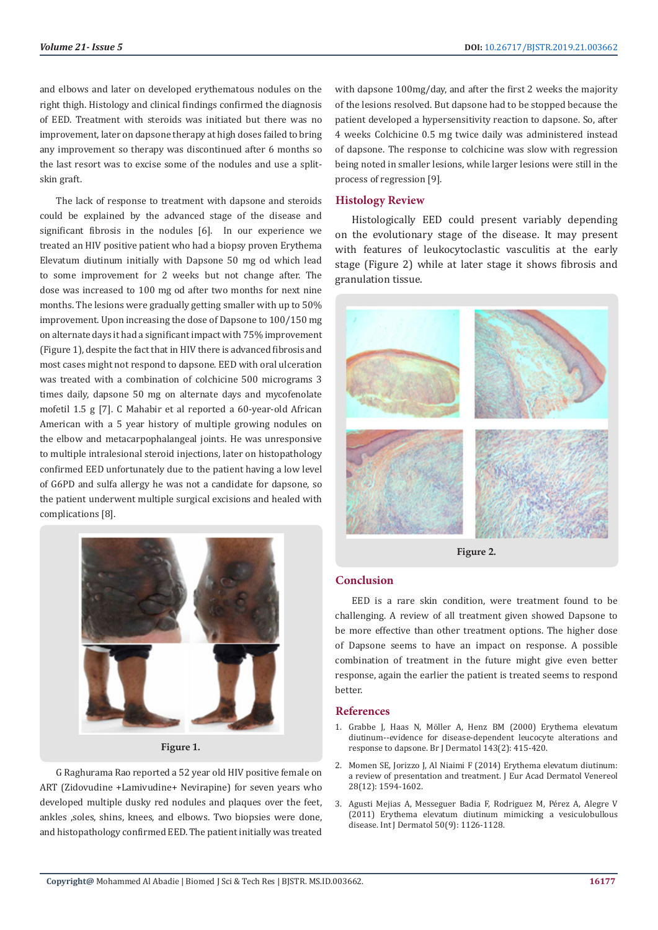and elbows and later on developed erythematous nodules on the right thigh. Histology and clinical findings confirmed the diagnosis of EED. Treatment with steroids was initiated but there was no improvement, later on dapsone therapy at high doses failed to bring any improvement so therapy was discontinued after 6 months so the last resort was to excise some of the nodules and use a splitskin graft.

The lack of response to treatment with dapsone and steroids could be explained by the advanced stage of the disease and significant fibrosis in the nodules [6]. In our experience we treated an HIV positive patient who had a biopsy proven Erythema Elevatum diutinum initially with Dapsone 50 mg od which lead to some improvement for 2 weeks but not change after. The dose was increased to 100 mg od after two months for next nine months. The lesions were gradually getting smaller with up to 50% improvement. Upon increasing the dose of Dapsone to 100/150 mg on alternate days it had a significant impact with 75% improvement (Figure 1), despite the fact that in HIV there is advanced fibrosis and most cases might not respond to dapsone. EED with oral ulceration was treated with a combination of colchicine 500 micrograms 3 times daily, dapsone 50 mg on alternate days and mycofenolate mofetil 1.5 g [7]. C Mahabir et al reported a 60-year-old African American with a 5 year history of multiple growing nodules on the elbow and metacarpophalangeal joints. He was unresponsive to multiple intralesional steroid injections, later on histopathology confirmed EED unfortunately due to the patient having a low level of G6PD and sulfa allergy he was not a candidate for dapsone, so the patient underwent multiple surgical excisions and healed with complications [8].



**Figure 1.**

G Raghurama Rao reported a 52 year old HIV positive female on ART (Zidovudine +Lamivudine+ Nevirapine) for seven years who developed multiple dusky red nodules and plaques over the feet, ankles ,soles, shins, knees, and elbows. Two biopsies were done, and histopathology confirmed EED. The patient initially was treated with dapsone 100mg/day, and after the first 2 weeks the majority of the lesions resolved. But dapsone had to be stopped because the patient developed a hypersensitivity reaction to dapsone. So, after 4 weeks Colchicine 0.5 mg twice daily was administered instead of dapsone. The response to colchicine was slow with regression being noted in smaller lesions, while larger lesions were still in the process of regression [9].

# **Histology Review**

Histologically EED could present variably depending on the evolutionary stage of the disease. It may present with features of leukocytoclastic vasculitis at the early stage (Figure 2) while at later stage it shows fibrosis and granulation tissue.



**Figure 2.**

# **Conclusion**

EED is a rare skin condition, were treatment found to be challenging. A review of all treatment given showed Dapsone to be more effective than other treatment options. The higher dose of Dapsone seems to have an impact on response. A possible combination of treatment in the future might give even better response, again the earlier the patient is treated seems to respond better.

## **References**

- 1. [Grabbe J, Haas N, Möller A, Henz BM \(2000\) Erythema elevatum](https://www.ncbi.nlm.nih.gov/pubmed/10951156) [diutinum--evidence for disease-dependent leucocyte alterations and](https://www.ncbi.nlm.nih.gov/pubmed/10951156) [response to dapsone. Br J Dermatol 143\(2\): 415-420.](https://www.ncbi.nlm.nih.gov/pubmed/10951156)
- 2. [Momen SE, Jorizzo J, Al Niaimi F \(2014\) Erythema elevatum diutinum:](https://www.ncbi.nlm.nih.gov/pubmed/25288365) [a review of presentation and treatment. J Eur Acad Dermatol Venereol](https://www.ncbi.nlm.nih.gov/pubmed/25288365) [28\(12\): 1594-1602.](https://www.ncbi.nlm.nih.gov/pubmed/25288365)
- 3. [Agusti Mejias A, Messeguer Badia F, Rodriguez M, Pérez A, Alegre V](https://www.ncbi.nlm.nih.gov/pubmed/22126877) [\(2011\) Erythema elevatum diutinum mimicking a vesiculobullous](https://www.ncbi.nlm.nih.gov/pubmed/22126877) [disease. Int J Dermatol 50\(9\): 1126-1128.](https://www.ncbi.nlm.nih.gov/pubmed/22126877)